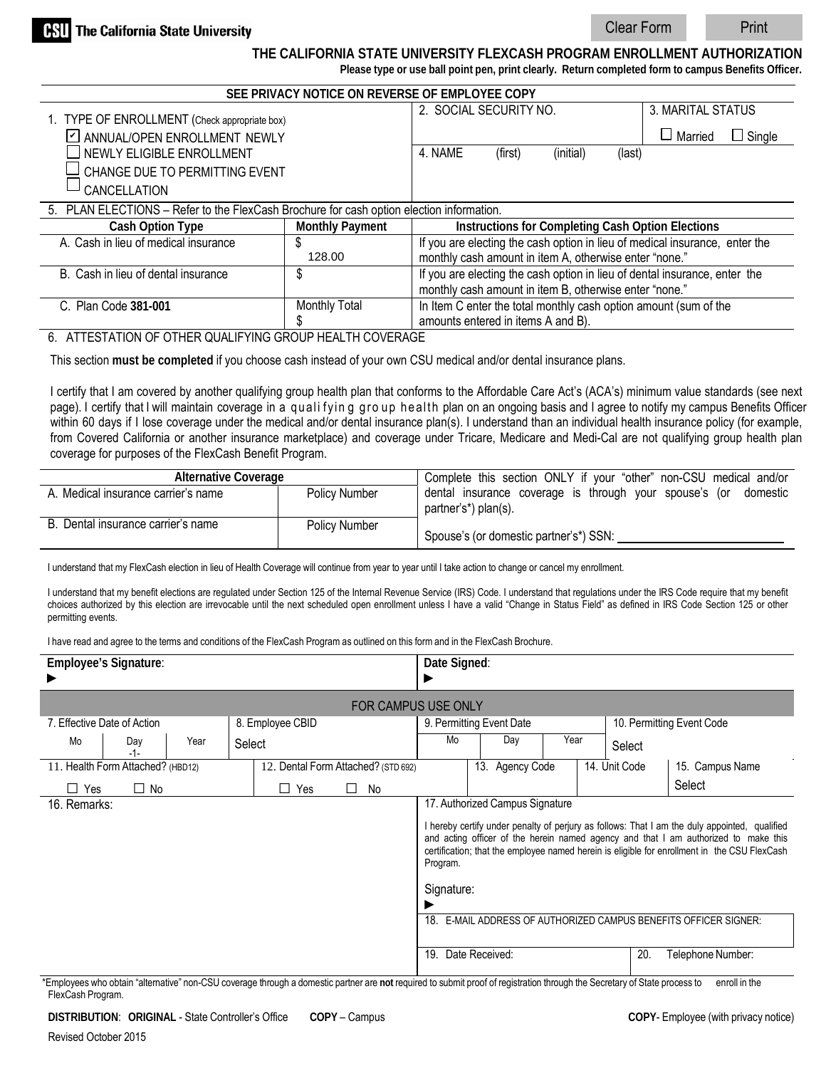Clear Form Print

**THE CALIFORNIA STATE UNIVERSITY FLEXCASH PROGRAM ENROLLMENT AUTHORIZATION**

**Please type or use ball point pen, print clearly. Return completed form to campus Benefits Officer.**

| SEE PRIVACY NOTICE ON REVERSE OF EMPLOYEE COPY                                           |                                                                                   |                                                                             |           |                   |         |               |  |  |  |  |
|------------------------------------------------------------------------------------------|-----------------------------------------------------------------------------------|-----------------------------------------------------------------------------|-----------|-------------------|---------|---------------|--|--|--|--|
|                                                                                          | 2. SOCIAL SECURITY NO.                                                            |                                                                             |           | 3. MARITAL STATUS |         |               |  |  |  |  |
| 1. TYPE OF ENROLLMENT (Check appropriate box)<br>☑ ANNUAL/OPEN ENROLLMENT NEWLY          |                                                                                   |                                                                             |           |                   | Married | $\Box$ Single |  |  |  |  |
| NEWLY ELIGIBLE ENROLLMENT                                                                | 4. NAME                                                                           | (first)                                                                     | (initial) | (last)            |         |               |  |  |  |  |
| CHANGE DUE TO PERMITTING EVENT                                                           |                                                                                   |                                                                             |           |                   |         |               |  |  |  |  |
| CANCELLATION                                                                             |                                                                                   |                                                                             |           |                   |         |               |  |  |  |  |
| 5. PLAN ELECTIONS - Refer to the FlexCash Brochure for cash option election information. |                                                                                   |                                                                             |           |                   |         |               |  |  |  |  |
| Cash Option Type                                                                         | <b>Monthly Payment</b>                                                            | Instructions for Completing Cash Option Elections                           |           |                   |         |               |  |  |  |  |
| A. Cash in lieu of medical insurance                                                     | S                                                                                 | If you are electing the cash option in lieu of medical insurance, enter the |           |                   |         |               |  |  |  |  |
|                                                                                          | 128.00                                                                            | monthly cash amount in item A, otherwise enter "none."                      |           |                   |         |               |  |  |  |  |
| B. Cash in lieu of dental insurance                                                      | \$                                                                                | If you are electing the cash option in lieu of dental insurance, enter the  |           |                   |         |               |  |  |  |  |
|                                                                                          |                                                                                   | monthly cash amount in item B, otherwise enter "none."                      |           |                   |         |               |  |  |  |  |
| C. Plan Code 381-001                                                                     | In Item C enter the total monthly cash option amount (sum of the<br>Monthly Total |                                                                             |           |                   |         |               |  |  |  |  |
|                                                                                          | amounts entered in items A and B).                                                |                                                                             |           |                   |         |               |  |  |  |  |

## 6. ATTESTATION OF OTHER QUALIFYING GROUP HEALTH COVERAGE

This section **must be completed** if you choose cash instead of your own CSU medical and/or dental insurance plans.

I certify that I am covered by another qualifying group health plan that conforms to the Affordable Care Act's (ACA's) minimum value standards (see next page). I certify that I will maintain coverage in a qualifying group health plan on an ongoing basis and I agree to notify my campus Benefits Officer within 60 days if I lose coverage under the medical and/or dental insurance plan(s). I understand than an individual health insurance policy (for example, from Covered California or another insurance marketplace) and coverage under Tricare, Medicare and Medi-Cal are not qualifying group health plan coverage for purposes of the FlexCash Benefit Program.

| Alternative Coverage                |                      | Complete this section ONLY if your "other" non-CSU medical and/or                       |  |  |  |  |  |  |
|-------------------------------------|----------------------|-----------------------------------------------------------------------------------------|--|--|--|--|--|--|
| A. Medical insurance carrier's name | Policy Number        | dental insurance coverage is through your spouse's (or domestic<br>partner's*) plan(s). |  |  |  |  |  |  |
| B. Dental insurance carrier's name  | <b>Policy Number</b> | Spouse's (or domestic partner's*) SSN:                                                  |  |  |  |  |  |  |

I understand that my FlexCash election in lieu of Health Coverage will continue from year to year until I take action to change or cancel my enrollment.

I understand that my benefit elections are regulated under Section 125 of the Internal Revenue Service (IRS) Code. I understand that regulations under the IRS Code require that my benefit choices authorized by this election are irrevocable until the next scheduled open enrollment unless I have a valid "Change in Status Field" as defined in IRS Code Section 125 or other permitting events.

I have read and agree to the terms and conditions of the FlexCash Program as outlined on this form and in the FlexCash Brochure.

|                                                                           | <b>Employee's Signature:</b>      |      |                                     |          |         |                          | Date Signed:                                                                                                             |                                                                                                                                                                                                                                                                                      |                 |      |  |                           |                 |  |
|---------------------------------------------------------------------------|-----------------------------------|------|-------------------------------------|----------|---------|--------------------------|--------------------------------------------------------------------------------------------------------------------------|--------------------------------------------------------------------------------------------------------------------------------------------------------------------------------------------------------------------------------------------------------------------------------------|-----------------|------|--|---------------------------|-----------------|--|
| FOR CAMPUS USE ONLY                                                       |                                   |      |                                     |          |         |                          |                                                                                                                          |                                                                                                                                                                                                                                                                                      |                 |      |  |                           |                 |  |
| 8. Employee CBID<br>7. Effective Date of Action                           |                                   |      |                                     |          |         | 9. Permitting Event Date |                                                                                                                          |                                                                                                                                                                                                                                                                                      |                 |      |  | 10. Permitting Event Code |                 |  |
| Mo                                                                        | Day<br>$-1-$                      | Year | Select                              |          |         |                          | Mo                                                                                                                       |                                                                                                                                                                                                                                                                                      | Day             | Year |  | Select                    |                 |  |
|                                                                           | 11. Health Form Attached? (HBD12) |      | 12. Dental Form Attached? (STD 692) |          |         |                          |                                                                                                                          |                                                                                                                                                                                                                                                                                      | 13. Agency Code |      |  | 14. Unit Code             | 15. Campus Name |  |
| Yes<br>$\perp$                                                            | $\Box$ No                         |      |                                     | Yes<br>⊔ | $\perp$ | No                       |                                                                                                                          |                                                                                                                                                                                                                                                                                      |                 |      |  |                           | Select          |  |
| 17. Authorized Campus Signature<br>16. Remarks:<br>Program.<br>Signature: |                                   |      |                                     |          |         |                          |                                                                                                                          | I hereby certify under penalty of perjury as follows: That I am the duly appointed, qualified<br>and acting officer of the herein named agency and that I am authorized to make this<br>certification; that the employee named herein is eligible for enrollment in the CSU FlexCash |                 |      |  |                           |                 |  |
|                                                                           |                                   |      |                                     |          |         |                          | 18.<br>E-MAIL ADDRESS OF AUTHORIZED CAMPUS BENEFITS OFFICER SIGNER:<br>20.<br>Date Received:<br>19.<br>Telephone Number: |                                                                                                                                                                                                                                                                                      |                 |      |  |                           |                 |  |

\*Employees who obtain "alternative" non-CSU coverage through a domestic partner are **not** required to submit proof of registration through the Secretary of State process to enroll in the FlexCash Program.